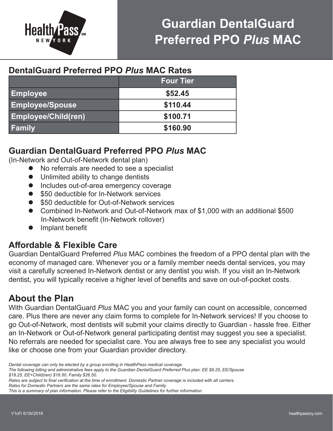

## **Guardian DentalGuard Preferred PPO** *Plus* **MAC**

## **DentalGuard Preferred PPO** *Plus* **MAC Rates**

|                            | <b>Four Tier</b> |
|----------------------------|------------------|
| <b>Employee</b>            | \$52.45          |
| <b>Employee/Spouse</b>     | \$110.44         |
| <b>Employee/Child(ren)</b> | \$100.71         |
| <b>Family</b>              | \$160.90         |

### **Guardian DentalGuard Preferred PPO** *Plus* **MAC**

(In-Network and Out-of-Network dental plan)

- l No referrals are needed to see a specialist
- l Unlimited ability to change dentists
- **•** Includes out-of-area emergency coverage
- \$50 deductible for In-Network services
- \$50 deductible for Out-of-Network services
- Combined In-Network and Out-of-Network max of \$1,000 with an additional \$500 In-Network benefit (In-Network rollover)
- $\bullet$  Implant benefit

## **Affordable & Flexible Care**

Guardian DentalGuard Preferred *Plus* MAC combines the freedom of a PPO dental plan with the economy of managed care. Whenever you or a family member needs dental services, you may visit a carefully screened In-Network dentist or any dentist you wish. If you visit an In-Network dentist, you will typically receive a higher level of benefits and save on out-of-pocket costs.

## **About the Plan**

With Guardian DentalGuard *Plus* MAC you and your family can count on accessible, concerned care. Plus there are never any claim forms to complete for In-Network services! If you choose to go Out-of-Network, most dentists will submit your claims directly to Guardian - hassle free. Either an In-Network or Out-of-Network general participating dentist may suggest you see a specialist. No referrals are needed for specialist care. You are always free to see any specialist you would like or choose one from your Guardian provider directory.

*The following billing and administrative fees apply to the Guardian DentalGuard Preferred Plus plan: EE \$9.25, EE/Spouse \$18.25, EE+Child(ren) \$16.50, Family \$26.50.*

*Rates are subject to final verification at the time of enrollment. Domestic Partner coverage is included with all carriers.*

*Rates for Domestic Partners are the same rates for Employee/Spouse and Family.*

*Dental coverage can only be elected by a group enrolling in HealthPass medical coverage.*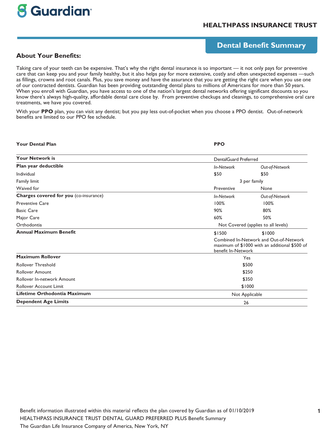# **8 Guardian**

#### **HEALTHPASS INSURANCE TRUST**

#### **Dental Benefit Summary**

**About Your Benefits:**

Taking care of your teeth can be expensive. That's why the right dental insurance is so important — it not only pays for preventive care that can keep you and your family healthy, but it also helps pay for more extensive, costly and often unexpected expenses —such as fillings, crowns and root canals. Plus, you save money and have the assurance that you are getting the right care when you use one of our contracted dentists. Guardian has been providing outstanding dental plans to millions of Americans for more than 50 years. When you enroll with Guardian, you have access to one of the nation's largest dental networks offering significant discounts so you know there's always high-quality, affordable dental care close by. From preventive checkups and cleanings, to comprehensive oral care treatments, we have you covered.

With your **PPO** plan, you can visit any dentist; but you pay less out-of-pocket when you choose a PPO dentist. Out-of-network benefits are limited to our PPO fee schedule.

| <b>Your Dental Plan</b>                | <b>PPO</b>                                                                                                    |                                     |  |  |
|----------------------------------------|---------------------------------------------------------------------------------------------------------------|-------------------------------------|--|--|
| <b>Your Network is</b>                 |                                                                                                               | DentalGuard Preferred               |  |  |
| Plan year deductible                   | <b>In-Network</b>                                                                                             | Out-of-Network                      |  |  |
| Individual                             | \$50                                                                                                          | \$50                                |  |  |
| Family limit                           |                                                                                                               | 3 per family                        |  |  |
| Waived for                             | Preventive                                                                                                    | None                                |  |  |
| Charges covered for you (co-insurance) | In-Network                                                                                                    | Out-of-Network                      |  |  |
| <b>Preventive Care</b>                 | 100%                                                                                                          | 100%                                |  |  |
| <b>Basic Care</b>                      | 90%                                                                                                           | 80%                                 |  |  |
| Major Care                             | 60%                                                                                                           | 50%                                 |  |  |
| Orthodontia                            |                                                                                                               | Not Covered (applies to all levels) |  |  |
| <b>Annual Maximum Benefit</b>          | \$1500                                                                                                        | \$1000                              |  |  |
|                                        | Combined In-Network and Out-of-Network<br>maximum of \$1000 with an additional \$500 of<br>benefit In-Network |                                     |  |  |
| Maximum Rollover                       |                                                                                                               | Yes                                 |  |  |
| <b>Rollover Threshold</b>              |                                                                                                               | \$500                               |  |  |
| <b>Rollover Amount</b>                 |                                                                                                               | \$250                               |  |  |
| Rollover In-network Amount             | \$350                                                                                                         |                                     |  |  |
| <b>Rollover Account Limit</b>          | \$1000                                                                                                        |                                     |  |  |
| Lifetime Orthodontia Maximum           |                                                                                                               | Not Applicable                      |  |  |
| <b>Dependent Age Limits</b>            | 26                                                                                                            |                                     |  |  |

Benefit information illustrated within this material reflects the plan covered by Guardian as of 01/10/2019 HEALTHPASS INSURANCE TRUST DENTAL GUARD PREFERRED PLUS Benefit Summary The Guardian Life Insurance Company of America, New York, NY